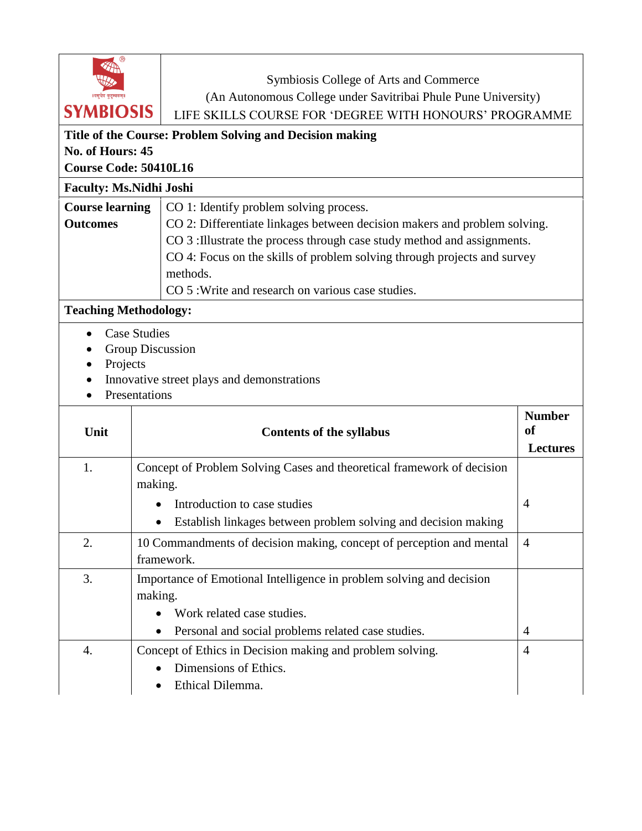# Symbiosis College of Arts and Commerce (An Autonomous College under Savitribai Phule Pune University) **SYMBIOSIS** LIFE SKILLS COURSE FOR 'DEGREE WITH HONOURS' PROGRAMME

# **Title of the Course: Problem Solving and Decision making No. of Hours: 45**

**Course Code: 50410L16**

**Faculty: Ms.Nidhi Joshi Course learning Outcomes** CO 1: Identify problem solving process. CO 2: Differentiate linkages between decision makers and problem solving. CO 3 :Illustrate the process through case study method and assignments. CO 4: Focus on the skills of problem solving through projects and survey methods. CO 5 :Write and research on various case studies.

## **Teaching Methodology:**

- Case Studies
- Group Discussion
- Projects
- Innovative street plays and demonstrations
- Presentations

| Unit | <b>Contents of the syllabus</b>                                                                               | <b>Number</b><br><sub>of</sub> |
|------|---------------------------------------------------------------------------------------------------------------|--------------------------------|
|      |                                                                                                               | <b>Lectures</b>                |
| 1.   | Concept of Problem Solving Cases and theoretical framework of decision<br>making.                             |                                |
|      | Introduction to case studies                                                                                  | $\overline{4}$                 |
|      | Establish linkages between problem solving and decision making                                                |                                |
| 2.   | 10 Commandments of decision making, concept of perception and mental<br>framework.                            | $\overline{4}$                 |
| 3.   | Importance of Emotional Intelligence in problem solving and decision<br>making.<br>Work related case studies. |                                |
|      | Personal and social problems related case studies.<br>$\bullet$                                               | 4                              |
| 4.   | Concept of Ethics in Decision making and problem solving.<br>Dimensions of Ethics.<br>Ethical Dilemma.        | 4                              |
|      |                                                                                                               |                                |